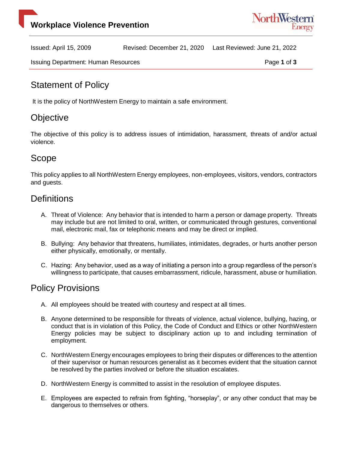

Issued: April 15, 2009 Revised: December 21, 2020 Last Reviewed: June 21, 2022

Issuing Department: Human Resources **Page 1** of 3

# Statement of Policy

It is the policy of NorthWestern Energy to maintain a safe environment.

## **Objective**

The objective of this policy is to address issues of intimidation, harassment, threats of and/or actual violence.

## Scope

This policy applies to all NorthWestern Energy employees, non-employees, visitors, vendors, contractors and guests.

#### **Definitions**

- A. Threat of Violence: Any behavior that is intended to harm a person or damage property. Threats may include but are not limited to oral, written, or communicated through gestures, conventional mail, electronic mail, fax or telephonic means and may be direct or implied.
- B. Bullying: Any behavior that threatens, humiliates, intimidates, degrades, or hurts another person either physically, emotionally, or mentally.
- C. Hazing: Any behavior, used as a way of initiating a person into a group regardless of the person's willingness to participate, that causes embarrassment, ridicule, harassment, abuse or humiliation.

## Policy Provisions

- A. All employees should be treated with courtesy and respect at all times.
- B. Anyone determined to be responsible for threats of violence, actual violence, bullying, hazing, or conduct that is in violation of this Policy, the Code of Conduct and Ethics or other NorthWestern Energy policies may be subject to disciplinary action up to and including termination of employment.
- C. NorthWestern Energy encourages employees to bring their disputes or differences to the attention of their supervisor or human resources generalist as it becomes evident that the situation cannot be resolved by the parties involved or before the situation escalates.
- D. NorthWestern Energy is committed to assist in the resolution of employee disputes.
- E. Employees are expected to refrain from fighting, "horseplay", or any other conduct that may be dangerous to themselves or others.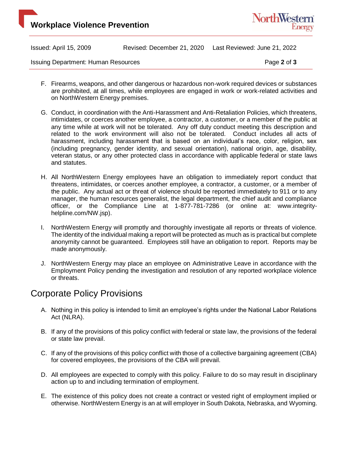



Issued: April 15, 2009 Revised: December 21, 2020 Last Reviewed: June 21, 2022

Issuing Department: Human Resources **Page 2** of 3

- F. Firearms, weapons, and other dangerous or hazardous non-work required devices or substances are prohibited, at all times, while employees are engaged in work or work-related activities and on NorthWestern Energy premises.
- G. Conduct, in coordination with the Anti-Harassment and Anti-Retaliation Policies, which threatens, intimidates, or coerces another employee, a contractor, a customer, or a member of the public at any time while at work will not be tolerated. Any off duty conduct meeting this description and related to the work environment will also not be tolerated. Conduct includes all acts of harassment, including harassment that is based on an individual's race, color, religion, sex (including pregnancy, gender identity, and sexual orientation), national origin, age, disability, veteran status, or any other protected class in accordance with applicable federal or state laws and statutes.
- H. All NorthWestern Energy employees have an obligation to immediately report conduct that threatens, intimidates, or coerces another employee, a contractor, a customer, or a member of the public. Any actual act or threat of violence should be reported immediately to 911 or to any manager, the human resources generalist, the legal department, the chief audit and compliance officer, or the Compliance Line at 1-877-781-7286 (or online at: www.integrityhelpline.com/NW.jsp).
- I. NorthWestern Energy will promptly and thoroughly investigate all reports or threats of violence. The identity of the individual making a report will be protected as much as is practical but complete anonymity cannot be guaranteed. Employees still have an obligation to report. Reports may be made anonymously.
- J. NorthWestern Energy may place an employee on Administrative Leave in accordance with the Employment Policy pending the investigation and resolution of any reported workplace violence or threats.

## Corporate Policy Provisions

- A. Nothing in this policy is intended to limit an employee's rights under the National Labor Relations Act (NLRA).
- B. If any of the provisions of this policy conflict with federal or state law, the provisions of the federal or state law prevail.
- C. If any of the provisions of this policy conflict with those of a collective bargaining agreement (CBA) for covered employees, the provisions of the CBA will prevail.
- D. All employees are expected to comply with this policy. Failure to do so may result in disciplinary action up to and including termination of employment.
- E. The existence of this policy does not create a contract or vested right of employment implied or otherwise. NorthWestern Energy is an at will employer in South Dakota, Nebraska, and Wyoming.